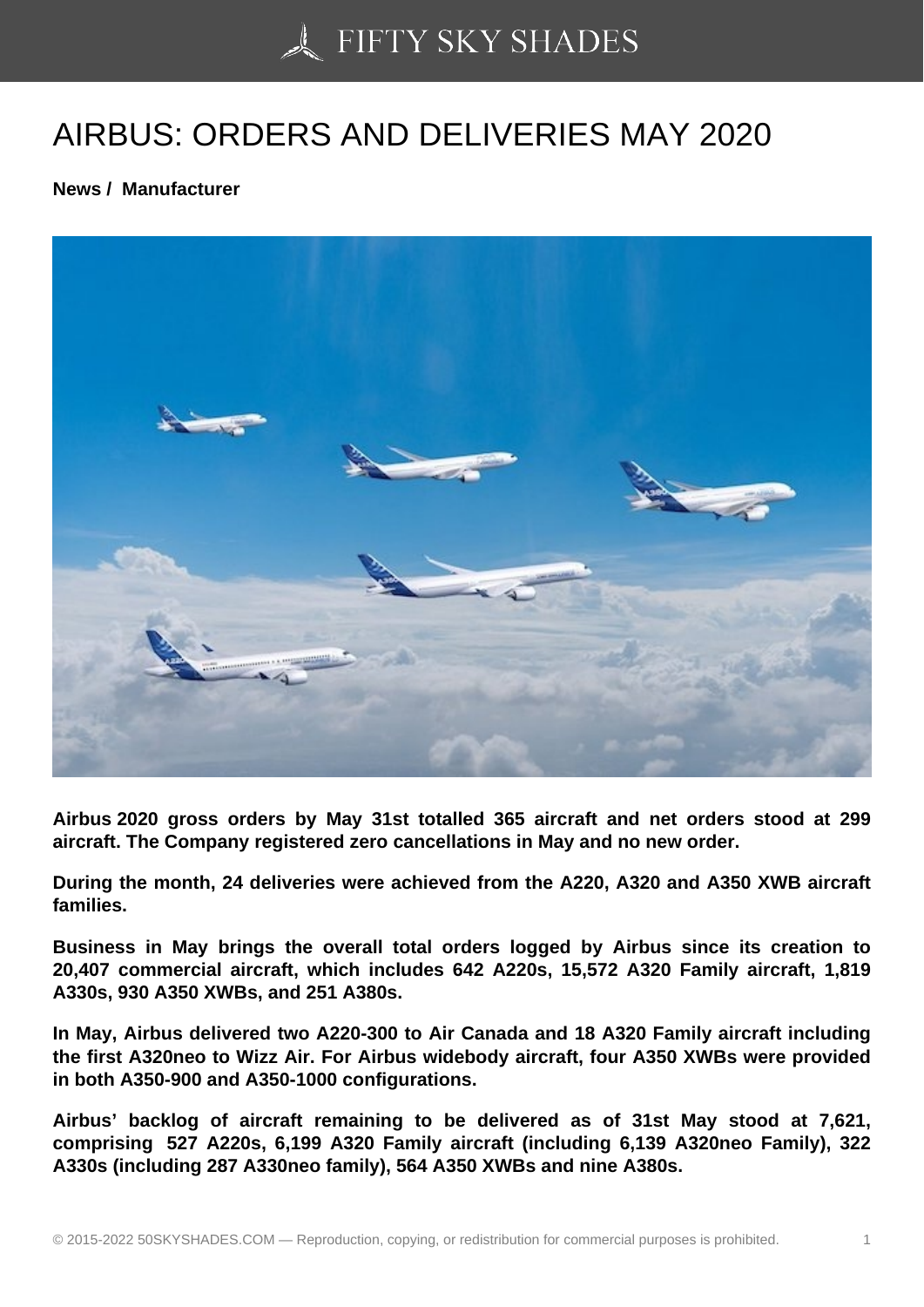## [AIRBUS: ORDERS AN](https://50skyshades.com)D DELIVERIES MAY 2020

News / Manufacturer

Airbus 2020 gross orders by May 31st totalled 365 aircraft and net orders stood at 299 aircraft. The Company registered zero cancellations in May and no new order.

During the month, 24 deliveries were achieved from the A220, A320 and A350 XWB aircraft families.

Business in May brings the overall total orders logged by Airbus since its creation to 20,407 commercial aircraft, which includes 642 A220s, 15,572 A320 Family aircraft, 1,819 A330s, 930 A350 XWBs, and 251 A380s.

In May, Airbus delivered two A220-300 to Air Canada and 18 A320 Family aircraft including the first A320neo to Wizz Air. For Airbus widebody aircraft, four A350 XWBs were provided in both A350-900 and A350-1000 configurations.

Airbus' backlog of aircraft remaining to be delivered as of 31st May stood at 7,621, comprising 527 A220s, 6,199 A320 Family aircraft (including 6,139 A320neo Family), 322 A330s (including 287 A330neo family), 564 A350 XWBs and nine A380s.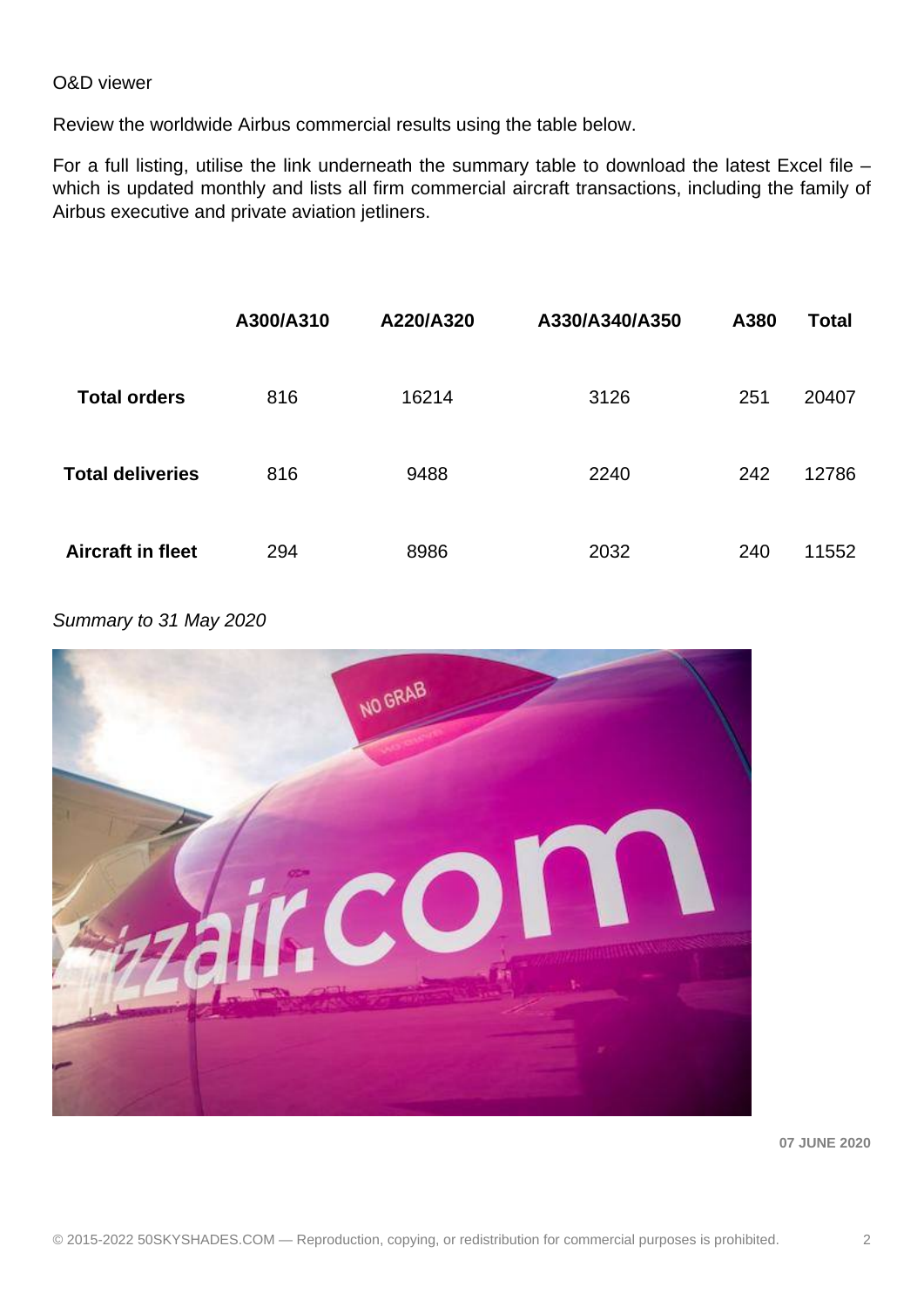## O&D viewer

Review the worldwide Airbus commercial results using the table below.

For a full listing, utilise the link underneath the summary table to download the latest Excel file which is updated monthly and lists all firm commercial aircraft transactions, including the family of Airbus executive and private aviation jetliners.

|                          | A300/A310 | A220/A320 | A330/A340/A350 | A380 | <b>Total</b> |
|--------------------------|-----------|-----------|----------------|------|--------------|
| <b>Total orders</b>      | 816       | 16214     | 3126           | 251  | 20407        |
| <b>Total deliveries</b>  | 816       | 9488      | 2240           | 242  | 12786        |
| <b>Aircraft in fleet</b> | 294       | 8986      | 2032           | 240  | 11552        |

Summary to 31 May 2020



**07 JUNE 2020**